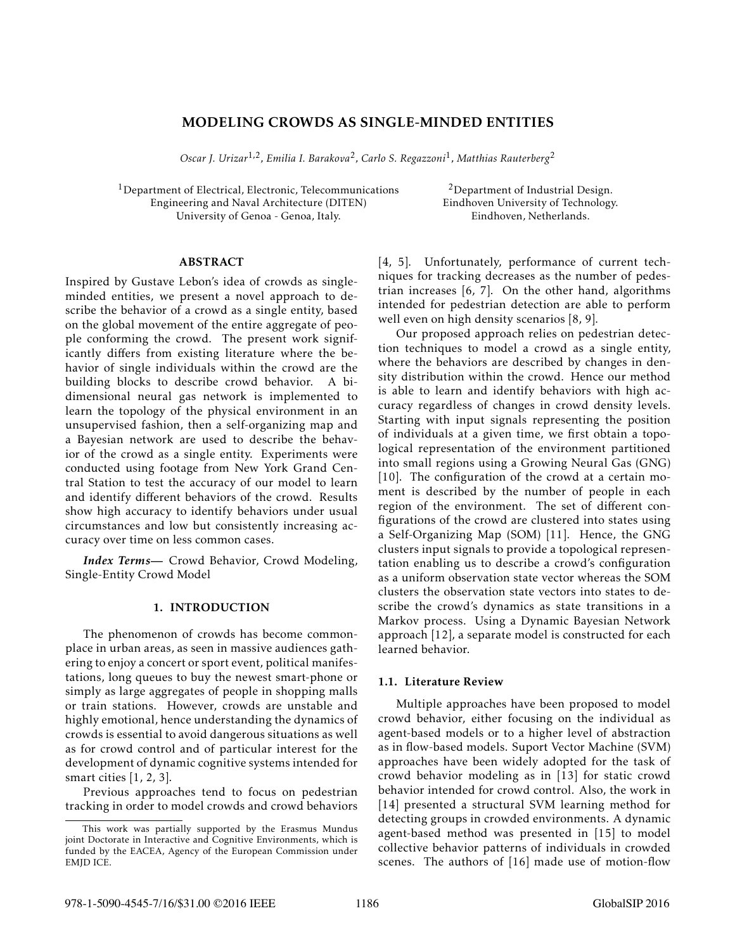# MODELING CROWDS AS SINGLE-MINDED ENTITIES

*Oscar J. Urizar*1*,*2*, Emilia I. Barakova*2*, Carlo S. Regazzoni*1*, Matthias Rauterberg*<sup>2</sup>

<sup>1</sup>Department of Electrical, Electronic, Telecommunications <sup>2</sup>Department of Industrial Design. Engineering and Naval Architecture (DITEN) Eindhoven University of Technology. University of Genoa - Genoa, Italy. Eindhoven, Netherlands.

## ABSTRACT

Inspired by Gustave Lebon's idea of crowds as singleminded entities, we present a novel approach to describe the behavior of a crowd as a single entity, based on the global movement of the entire aggregate of people conforming the crowd. The present work significantly differs from existing literature where the behavior of single individuals within the crowd are the building blocks to describe crowd behavior. A bidimensional neural gas network is implemented to learn the topology of the physical environment in an unsupervised fashion, then a self-organizing map and a Bayesian network are used to describe the behavior of the crowd as a single entity. Experiments were conducted using footage from New York Grand Central Station to test the accuracy of our model to learn and identify different behaviors of the crowd. Results show high accuracy to identify behaviors under usual circumstances and low but consistently increasing accuracy over time on less common cases.

*Index Terms*— Crowd Behavior, Crowd Modeling, Single-Entity Crowd Model

# 1. INTRODUCTION

The phenomenon of crowds has become commonplace in urban areas, as seen in massive audiences gathering to enjoy a concert or sport event, political manifestations, long queues to buy the newest smart-phone or simply as large aggregates of people in shopping malls or train stations. However, crowds are unstable and highly emotional, hence understanding the dynamics of crowds is essential to avoid dangerous situations as well as for crowd control and of particular interest for the development of dynamic cognitive systems intended for smart cities [1, 2, 3].

Previous approaches tend to focus on pedestrian tracking in order to model crowds and crowd behaviors [4, 5]. Unfortunately, performance of current techniques for tracking decreases as the number of pedestrian increases [6, 7]. On the other hand, algorithms intended for pedestrian detection are able to perform well even on high density scenarios [8, 9].

Our proposed approach relies on pedestrian detection techniques to model a crowd as a single entity, where the behaviors are described by changes in density distribution within the crowd. Hence our method is able to learn and identify behaviors with high accuracy regardless of changes in crowd density levels. Starting with input signals representing the position of individuals at a given time, we first obtain a topological representation of the environment partitioned into small regions using a Growing Neural Gas (GNG) [10]. The configuration of the crowd at a certain moment is described by the number of people in each region of the environment. The set of different configurations of the crowd are clustered into states using a Self-Organizing Map (SOM) [11]. Hence, the GNG clusters input signals to provide a topological representation enabling us to describe a crowd's configuration as a uniform observation state vector whereas the SOM clusters the observation state vectors into states to describe the crowd's dynamics as state transitions in a Markov process. Using a Dynamic Bayesian Network approach [12], a separate model is constructed for each learned behavior.

# 1.1. Literature Review

Multiple approaches have been proposed to model crowd behavior, either focusing on the individual as agent-based models or to a higher level of abstraction as in flow-based models. Suport Vector Machine (SVM) approaches have been widely adopted for the task of crowd behavior modeling as in [13] for static crowd behavior intended for crowd control. Also, the work in [14] presented a structural SVM learning method for detecting groups in crowded environments. A dynamic agent-based method was presented in [15] to model collective behavior patterns of individuals in crowded scenes. The authors of [16] made use of motion-flow

This work was partially supported by the Erasmus Mundus joint Doctorate in Interactive and Cognitive Environments, which is funded by the EACEA, Agency of the European Commission under EMJD ICE.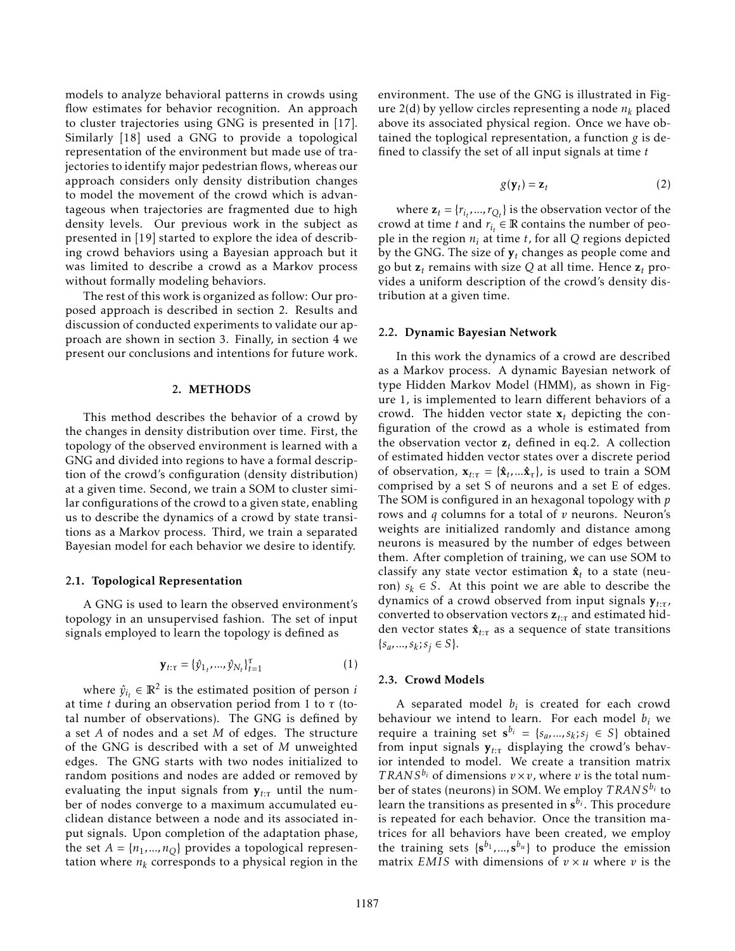models to analyze behavioral patterns in crowds using flow estimates for behavior recognition. An approach to cluster trajectories using GNG is presented in [17]. Similarly [18] used a GNG to provide a topological representation of the environment but made use of trajectories to identify major pedestrian flows, whereas our approach considers only density distribution changes to model the movement of the crowd which is advantageous when trajectories are fragmented due to high density levels. Our previous work in the subject as presented in [19] started to explore the idea of describing crowd behaviors using a Bayesian approach but it was limited to describe a crowd as a Markov process without formally modeling behaviors.

The rest of this work is organized as follow: Our proposed approach is described in section 2. Results and discussion of conducted experiments to validate our approach are shown in section 3. Finally, in section 4 we present our conclusions and intentions for future work.

#### 2. METHODS

This method describes the behavior of a crowd by the changes in density distribution over time. First, the topology of the observed environment is learned with a GNG and divided into regions to have a formal description of the crowd's configuration (density distribution) at a given time. Second, we train a SOM to cluster similar configurations of the crowd to a given state, enabling us to describe the dynamics of a crowd by state transitions as a Markov process. Third, we train a separated Bayesian model for each behavior we desire to identify.

### 2.1. Topological Representation

A GNG is used to learn the observed environment's topology in an unsupervised fashion. The set of input signals employed to learn the topology is defined as

$$
\mathbf{y}_{t:\tau} = \{\hat{y}_{1_t}, ..., \hat{y}_{N_t}\}_{t=1}^{\tau}
$$
 (1)

where  $\hat{y}_{i_t} \in \mathbb{R}^2$  is the estimated position of person *i* at time *t* during an observation period from 1 to *τ* (total number of observations). The GNG is defined by a set *A* of nodes and a set *M* of edges. The structure of the GNG is described with a set of *M* unweighted edges. The GNG starts with two nodes initialized to random positions and nodes are added or removed by evaluating the input signals from y*t*:*<sup>τ</sup>* until the number of nodes converge to a maximum accumulated euclidean distance between a node and its associated input signals. Upon completion of the adaptation phase, the set  $A = \{n_1, ..., n_Q\}$  provides a topological representation where  $n_k$  corresponds to a physical region in the

environment. The use of the GNG is illustrated in Figure 2(d) by yellow circles representing a node  $n_k$  placed above its associated physical region. Once we have obtained the toplogical representation, a function *g* is defined to classify the set of all input signals at time *t*

$$
g(\mathbf{y}_t) = \mathbf{z}_t \tag{2}
$$

where  $\mathbf{z}_t = \{r_{i_t}, ..., r_{Q_t}\}$  is the observation vector of the crowd at time *t* and  $r_i \in \mathbb{R}$  contains the number of people in the region *ni* at time *t*, for all *Q* regions depicted by the GNG. The size of y*<sup>t</sup>* changes as people come and go but  $z_t$  remains with size *Q* at all time. Hence  $z_t$  provides a uniform description of the crowd's density distribution at a given time.

#### 2.2. Dynamic Bayesian Network

In this work the dynamics of a crowd are described as a Markov process. A dynamic Bayesian network of type Hidden Markov Model (HMM), as shown in Figure 1, is implemented to learn different behaviors of a crowd. The hidden vector state  $x_t$  depicting the configuration of the crowd as a whole is estimated from the observation vector  $z_t$  defined in eq.2. A collection of estimated hidden vector states over a discrete period of observation,  $\mathbf{x}_{t:\tau} = {\hat{\mathbf{x}}_t, \dots \hat{\mathbf{x}}_{\tau}}$ , is used to train a SOM comprised by a set S of neurons and a set E of edges. The SOM is configured in an hexagonal topology with *p* rows and *q* columns for a total of *v* neurons. Neuron's weights are initialized randomly and distance among neurons is measured by the number of edges between them. After completion of training, we can use SOM to classify any state vector estimation  $\hat{\mathbf{x}}_t$  to a state (neuron)  $s_k \in S$ . At this point we are able to describe the dynamics of a crowd observed from input signals y*t*:*τ*, converted to observation vectors z*t*:*<sup>τ</sup>* and estimated hidden vector states  $\hat{\mathbf{x}}_{t:\tau}$  as a sequence of state transitions  $\{s_a, ..., s_k; s_j \in S\}.$ 

# 2.3. Crowd Models

A separated model  $b_i$  is created for each crowd behaviour we intend to learn. For each model  $b_i$  we require a training set  $s^{b_i} = \{s_a, ..., s_k; s_i \in S\}$  obtained from input signals y*t*:*<sup>τ</sup>* displaying the crowd's behavior intended to model. We create a transition matrix *TRANS*<sup>*b<sub>i</sub>*</sup> of dimensions  $v \times v$ , where *v* is the total number of states (neurons) in SOM. We employ *T RANSbi* to learn the transitions as presented in s*bi* . This procedure is repeated for each behavior. Once the transition matrices for all behaviors have been created, we employ the training sets  $\{s^{b_1},...,s^{b_u}\}\)$  to produce the emission matrix *EMIS* with dimensions of  $v \times u$  where  $v$  is the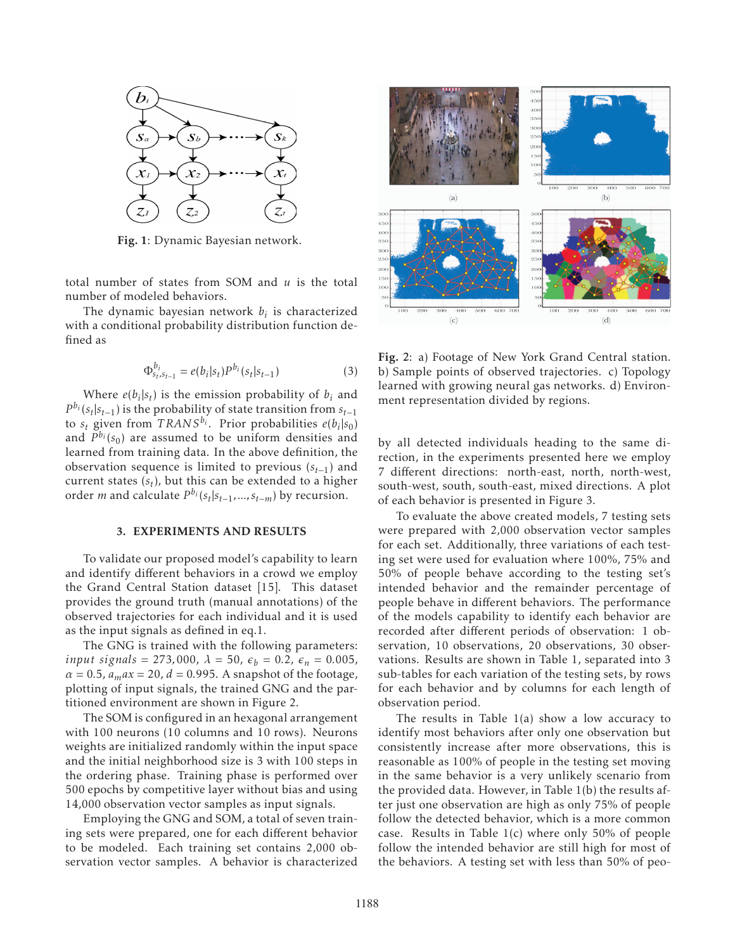

Fig. 1: Dynamic Bayesian network.

total number of states from SOM and *u* is the total number of modeled behaviors.

The dynamic bayesian network  $b_i$  is characterized with a conditional probability distribution function defined as

$$
\Phi_{s_t,s_{t-1}}^{b_i} = e(b_i|s_t)P^{b_i}(s_t|s_{t-1})
$$
\n(3)

Where  $e(b_i|s_t)$  is the emission probability of  $b_i$  and  $P^{b_i}(s_t|s_{t-1})$  is the probability of state transition from  $s_{t-1}$ to  $s_t$  given from *TRANS*<sup>*b<sub>i</sub>*</sup>. Prior probabilities  $e(b_i|s_0)$ and  $P^{b_i}(s_0)$  are assumed to be uniform densities and learned from training data. In the above definition, the observation sequence is limited to previous (*st*−1) and current states (*st*), but this can be extended to a higher order *m* and calculate  $P^{b_i}(s_t|s_{t-1},...,s_{t-m})$  by recursion.

# 3. EXPERIMENTS AND RESULTS

To validate our proposed model's capability to learn and identify different behaviors in a crowd we employ the Grand Central Station dataset [15]. This dataset provides the ground truth (manual annotations) of the observed trajectories for each individual and it is used as the input signals as defined in eq.1.

The GNG is trained with the following parameters: *input signals* = 273,000,  $\lambda$  = 50,  $\epsilon_b$  = 0.2,  $\epsilon_n$  = 0.005,  $\alpha = 0.5$ ,  $a_m a x = 20$ ,  $d = 0.995$ . A snapshot of the footage, plotting of input signals, the trained GNG and the partitioned environment are shown in Figure 2.

The SOM is configured in an hexagonal arrangement with 100 neurons (10 columns and 10 rows). Neurons weights are initialized randomly within the input space and the initial neighborhood size is 3 with 100 steps in the ordering phase. Training phase is performed over 500 epochs by competitive layer without bias and using 14,000 observation vector samples as input signals.

Employing the GNG and SOM, a total of seven training sets were prepared, one for each different behavior to be modeled. Each training set contains 2,000 observation vector samples. A behavior is characterized



Fig. 2: a) Footage of New York Grand Central station. b) Sample points of observed trajectories. c) Topology learned with growing neural gas networks. d) Environment representation divided by regions.

by all detected individuals heading to the same direction, in the experiments presented here we employ 7 different directions: north-east, north, north-west, south-west, south, south-east, mixed directions. A plot of each behavior is presented in Figure 3.

To evaluate the above created models, 7 testing sets were prepared with 2,000 observation vector samples for each set. Additionally, three variations of each testing set were used for evaluation where 100%, 75% and 50% of people behave according to the testing set's intended behavior and the remainder percentage of people behave in different behaviors. The performance of the models capability to identify each behavior are recorded after different periods of observation: 1 observation, 10 observations, 20 observations, 30 observations. Results are shown in Table 1, separated into 3 sub-tables for each variation of the testing sets, by rows for each behavior and by columns for each length of observation period.

The results in Table  $1(a)$  show a low accuracy to identify most behaviors after only one observation but consistently increase after more observations, this is reasonable as 100% of people in the testing set moving in the same behavior is a very unlikely scenario from the provided data. However, in Table 1(b) the results after just one observation are high as only 75% of people follow the detected behavior, which is a more common case. Results in Table 1(c) where only 50% of people follow the intended behavior are still high for most of the behaviors. A testing set with less than 50% of peo-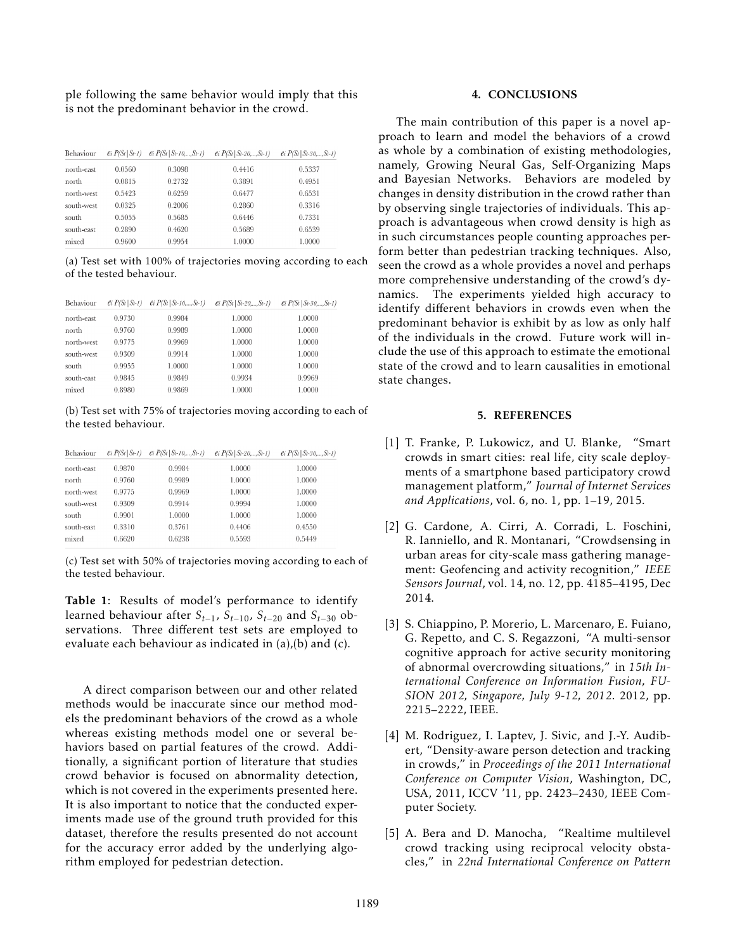| ple following the same behavior would imply that this |  |  |  |
|-------------------------------------------------------|--|--|--|
| is not the predominant behavior in the crowd.         |  |  |  |

| Behaviour  | $\ell$ i $P(S_t   S_{t-1})$ | $e_i P(S_t   S_{t-1}0, , S_{t-1})$ | $e_i P(S_t   S_{t-20,,S_{t-1})$ | $e_i P(S_t   S_{t-30}, S_{t-1})$ |
|------------|-----------------------------|------------------------------------|---------------------------------|----------------------------------|
| north-east | 0.0560                      | 0.3098                             | 0.4416                          | 0.5337                           |
| north      | 0.0815                      | 0.2732                             | 0.3891                          | 0.4951                           |
| north-west | 0.5423                      | 0.6259                             | 0.6477                          | 0.6531                           |
| south-west | 0.0325                      | 0.2006                             | 0.2860                          | 0.3316                           |
| south      | 0.5055                      | 0.5685                             | 0.6446                          | 0.7331                           |
| south-east | 0.2890                      | 0.4620                             | 0.5689                          | 0.6539                           |
| mixed      | 0.9600                      | 0.9954                             | 1.0000                          | 1.0000                           |

(a) Test set with 100% of trajectories moving according to each of the tested behaviour.

| $\ell i \, P(S_t   S_{t-1})$ | $e_i P(S_t   S_{t-1}0, , S_{t-1})$ | $e_i P(S_t   S_{t-20,,S_{t-1})$ | $e_i P(S_t   S_t=30,, S_{t-1})$ |
|------------------------------|------------------------------------|---------------------------------|---------------------------------|
| 0.9730                       | 0.9984                             | 1.0000                          | 1.0000                          |
| 0.9760                       | 0.9989                             | 1.0000                          | 1.0000                          |
| 0.9775                       | 0.9969                             | 1.0000                          | 1.0000                          |
| 0.9309                       | 0.9914                             | 1.0000                          | 1.0000                          |
| 0.9955                       | 1.0000                             | 1.0000                          | 1.0000                          |
| 0.9845                       | 0.9849                             | 0.9934                          | 0.9969                          |
| 0.8980                       | 0.9869                             | 1.0000                          | 1.0000                          |
|                              |                                    |                                 |                                 |

(b) Test set with 75% of trajectories moving according to each of the tested behaviour.

| Behaviour  | $e_i P(S_t   S_{t-1})$ | $ei P(St   St-10,,St-1)$ | $e_i P(S_t   S_{t-20}, S_{t-1})$ | $e_i P(S_t   S_t=30,, S_t=1)$ |
|------------|------------------------|--------------------------|----------------------------------|-------------------------------|
| north-east | 0.9870                 | 0.9984                   | 1.0000                           | 1.0000                        |
| north      | 0.9760                 | 0.9989                   | 1.0000                           | 1.0000                        |
| north-west | 0.9775                 | 0.9969                   | 1.0000                           | 1.0000                        |
| south-west | 0.9309                 | 0.9914                   | 0.9994                           | 1.0000                        |
| south      | 0.9901                 | 1.0000                   | 1.0000                           | 1.0000                        |
| south-east | 0.3310                 | 0.3761                   | 0.4406                           | 0.4550                        |
| mixed      | 0.6620                 | 0.6238                   | 0.5593                           | 0.5449                        |

(c) Test set with 50% of trajectories moving according to each of the tested behaviour.

Table 1: Results of model's performance to identify learned behaviour after  $S_{t-1}$ ,  $S_{t-10}$ ,  $S_{t-20}$  and  $S_{t-30}$  observations. Three different test sets are employed to evaluate each behaviour as indicated in (a),(b) and (c).

A direct comparison between our and other related methods would be inaccurate since our method models the predominant behaviors of the crowd as a whole whereas existing methods model one or several behaviors based on partial features of the crowd. Additionally, a significant portion of literature that studies crowd behavior is focused on abnormality detection, which is not covered in the experiments presented here. It is also important to notice that the conducted experiments made use of the ground truth provided for this dataset, therefore the results presented do not account for the accuracy error added by the underlying algorithm employed for pedestrian detection.

## 4. CONCLUSIONS

The main contribution of this paper is a novel approach to learn and model the behaviors of a crowd as whole by a combination of existing methodologies, namely, Growing Neural Gas, Self-Organizing Maps and Bayesian Networks. Behaviors are modeled by changes in density distribution in the crowd rather than by observing single trajectories of individuals. This approach is advantageous when crowd density is high as in such circumstances people counting approaches perform better than pedestrian tracking techniques. Also, seen the crowd as a whole provides a novel and perhaps more comprehensive understanding of the crowd's dynamics. The experiments yielded high accuracy to identify different behaviors in crowds even when the predominant behavior is exhibit by as low as only half of the individuals in the crowd. Future work will include the use of this approach to estimate the emotional state of the crowd and to learn causalities in emotional state changes.

# 5. REFERENCES

- [1] T. Franke, P. Lukowicz, and U. Blanke, "Smart crowds in smart cities: real life, city scale deployments of a smartphone based participatory crowd management platform," *Journal of Internet Services and Applications*, vol. 6, no. 1, pp. 1–19, 2015.
- [2] G. Cardone, A. Cirri, A. Corradi, L. Foschini, R. Ianniello, and R. Montanari, "Crowdsensing in urban areas for city-scale mass gathering management: Geofencing and activity recognition," *IEEE Sensors Journal*, vol. 14, no. 12, pp. 4185–4195, Dec 2014.
- [3] S. Chiappino, P. Morerio, L. Marcenaro, E. Fuiano, G. Repetto, and C. S. Regazzoni, "A multi-sensor cognitive approach for active security monitoring of abnormal overcrowding situations," in *15th International Conference on Information Fusion, FU-SION 2012, Singapore, July 9-12, 2012*. 2012, pp. 2215–2222, IEEE.
- [4] M. Rodriguez, I. Laptev, J. Sivic, and J.-Y. Audibert, "Density-aware person detection and tracking in crowds," in *Proceedings of the 2011 International Conference on Computer Vision*, Washington, DC, USA, 2011, ICCV '11, pp. 2423–2430, IEEE Computer Society.
- [5] A. Bera and D. Manocha, "Realtime multilevel crowd tracking using reciprocal velocity obstacles," in *22nd International Conference on Pattern*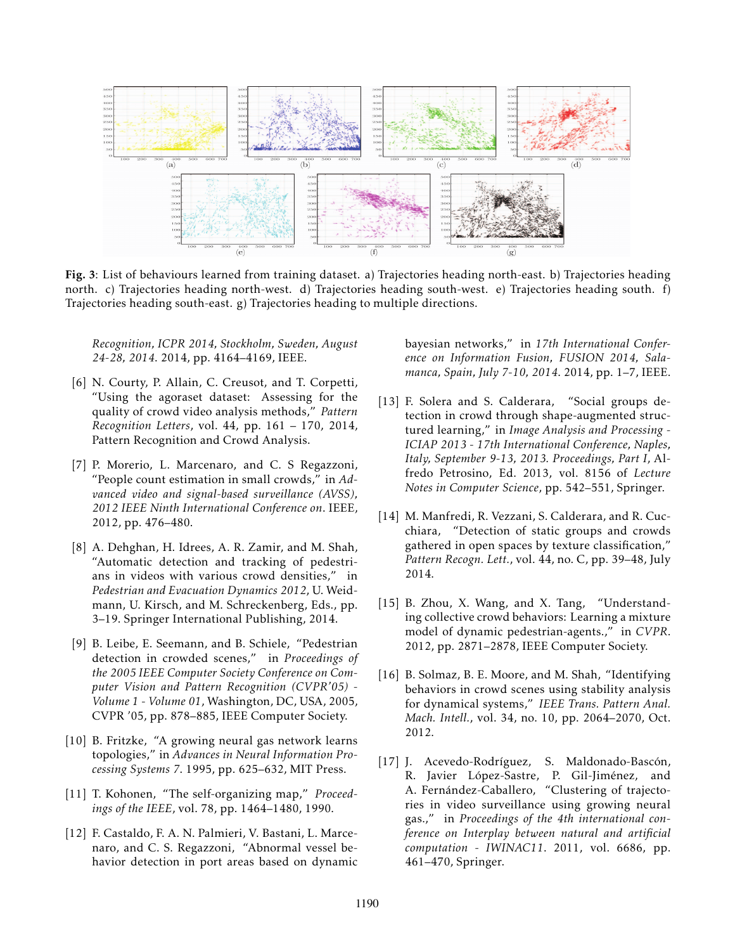

Fig. 3: List of behaviours learned from training dataset. a) Trajectories heading north-east. b) Trajectories heading north. c) Trajectories heading north-west. d) Trajectories heading south-west. e) Trajectories heading south. f) Trajectories heading south-east. g) Trajectories heading to multiple directions.

*Recognition, ICPR 2014, Stockholm, Sweden, August 24-28, 2014*. 2014, pp. 4164–4169, IEEE.

- [6] N. Courty, P. Allain, C. Creusot, and T. Corpetti, "Using the agoraset dataset: Assessing for the quality of crowd video analysis methods," *Pattern Recognition Letters*, vol. 44, pp. 161 – 170, 2014, Pattern Recognition and Crowd Analysis.
- [7] P. Morerio, L. Marcenaro, and C. S Regazzoni, "People count estimation in small crowds," in *Advanced video and signal-based surveillance (AVSS), 2012 IEEE Ninth International Conference on*. IEEE, 2012, pp. 476–480.
- [8] A. Dehghan, H. Idrees, A. R. Zamir, and M. Shah, "Automatic detection and tracking of pedestrians in videos with various crowd densities," in *Pedestrian and Evacuation Dynamics 2012*, U. Weidmann, U. Kirsch, and M. Schreckenberg, Eds., pp. 3–19. Springer International Publishing, 2014.
- [9] B. Leibe, E. Seemann, and B. Schiele, "Pedestrian detection in crowded scenes," in *Proceedings of the 2005 IEEE Computer Society Conference on Computer Vision and Pattern Recognition (CVPR'05) - Volume 1 - Volume 01*, Washington, DC, USA, 2005, CVPR '05, pp. 878–885, IEEE Computer Society.
- [10] B. Fritzke, "A growing neural gas network learns topologies," in *Advances in Neural Information Processing Systems 7*. 1995, pp. 625–632, MIT Press.
- [11] T. Kohonen, "The self-organizing map," *Proceedings of the IEEE*, vol. 78, pp. 1464–1480, 1990.
- [12] F. Castaldo, F. A. N. Palmieri, V. Bastani, L. Marcenaro, and C. S. Regazzoni, "Abnormal vessel behavior detection in port areas based on dynamic

bayesian networks," in *17th International Conference on Information Fusion, FUSION 2014, Salamanca, Spain, July 7-10, 2014*. 2014, pp. 1–7, IEEE.

- [13] F. Solera and S. Calderara, "Social groups detection in crowd through shape-augmented structured learning," in *Image Analysis and Processing - ICIAP 2013 - 17th International Conference, Naples, Italy, September 9-13, 2013. Proceedings, Part I*, Alfredo Petrosino, Ed. 2013, vol. 8156 of *Lecture Notes in Computer Science*, pp. 542–551, Springer.
- [14] M. Manfredi, R. Vezzani, S. Calderara, and R. Cucchiara, "Detection of static groups and crowds gathered in open spaces by texture classification," *Pattern Recogn. Lett.*, vol. 44, no. C, pp. 39–48, July 2014.
- [15] B. Zhou, X. Wang, and X. Tang, "Understanding collective crowd behaviors: Learning a mixture model of dynamic pedestrian-agents.," in *CVPR*. 2012, pp. 2871–2878, IEEE Computer Society.
- [16] B. Solmaz, B. E. Moore, and M. Shah, "Identifying behaviors in crowd scenes using stability analysis for dynamical systems," *IEEE Trans. Pattern Anal. Mach. Intell.*, vol. 34, no. 10, pp. 2064–2070, Oct. 2012.
- [17] J. Acevedo-Rodríguez, S. Maldonado-Bascón, R. Javier López-Sastre, P. Gil-Jiménez, and A. Fernández-Caballero, "Clustering of trajectories in video surveillance using growing neural gas.," in *Proceedings of the 4th international conference on Interplay between natural and artificial computation - IWINAC11*. 2011, vol. 6686, pp. 461–470, Springer.